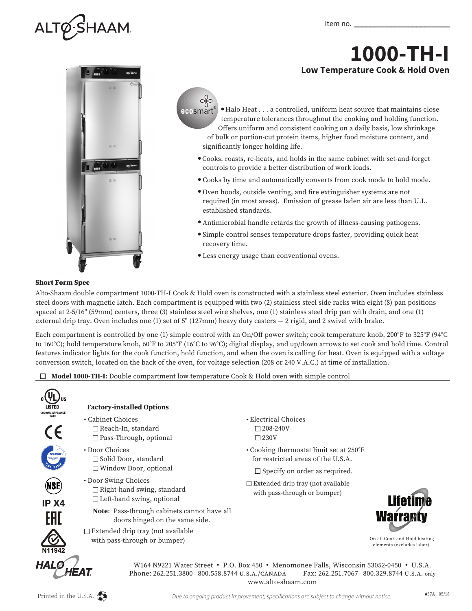

## **1000-TH-I Low Temperature Cook & Hold Oven**





 $\bullet$  Halo Heat . . . a controlled, uniform heat source that maintains close temperature tolerances throughout the cooking and holding function. Offers uniform and consistent cooking on a daily basis, low shrinkage of bulk or portion-cut protein items, higher food moisture content, and significantly longer holding life.

- Cooks, roasts, re-heats, and holds in the same cabinet with set-and-forget controls to provide a better distribution of work loads.
- <sup>l</sup> Cooks by time and automatically converts from cook mode to hold mode.
- <sup>l</sup> Oven hoods, outside venting, and fire extinguisher systems are not required (in most areas). Emission of grease laden air are less than U.L. established standards.
- <sup>l</sup> Antimicrobial handle retards the growth of illness-causing pathogens.
- Simple control senses temperature drops faster, providing quick heat recovery time.
- Less energy usage than conventional ovens.

## Short Form Spec

Alto-Shaam double compartment 1000-TH-I Cook & Hold oven is constructed with a stainless steel exterior. Oven includes stainless steel doors with magnetic latch. Each compartment is equipped with two (2) stainless steel side racks with eight (8) pan positions spaced at 2-5/16" (59mm) centers, three (3) stainless steel wire shelves, one (1) stainless steel drip pan with drain, and one (1) external drip tray. Oven includes one (1) set of 5" (127mm) heavy duty casters — 2 rigid, and 2 swivel with brake.

Each compartment is controlled by one (1) simple control with an On/Off power switch; cook temperature knob, 200°F to 325°F (94°C to 160°C); hold temperature knob, 60°F to 205°F (16°C to 96°C); digital display, and up/down arrows to set cook and hold time. Control features indicator lights for the cook function, hold function, and when the oven is calling for heat. Oven is equipped with a voltage conversion switch, located on the back of the oven, for voltage selection (208 or 240 V.A.C.) at time of installation.

**Model 1000-TH-I:** Double compartment low temperature Cook & Hold oven with simple control